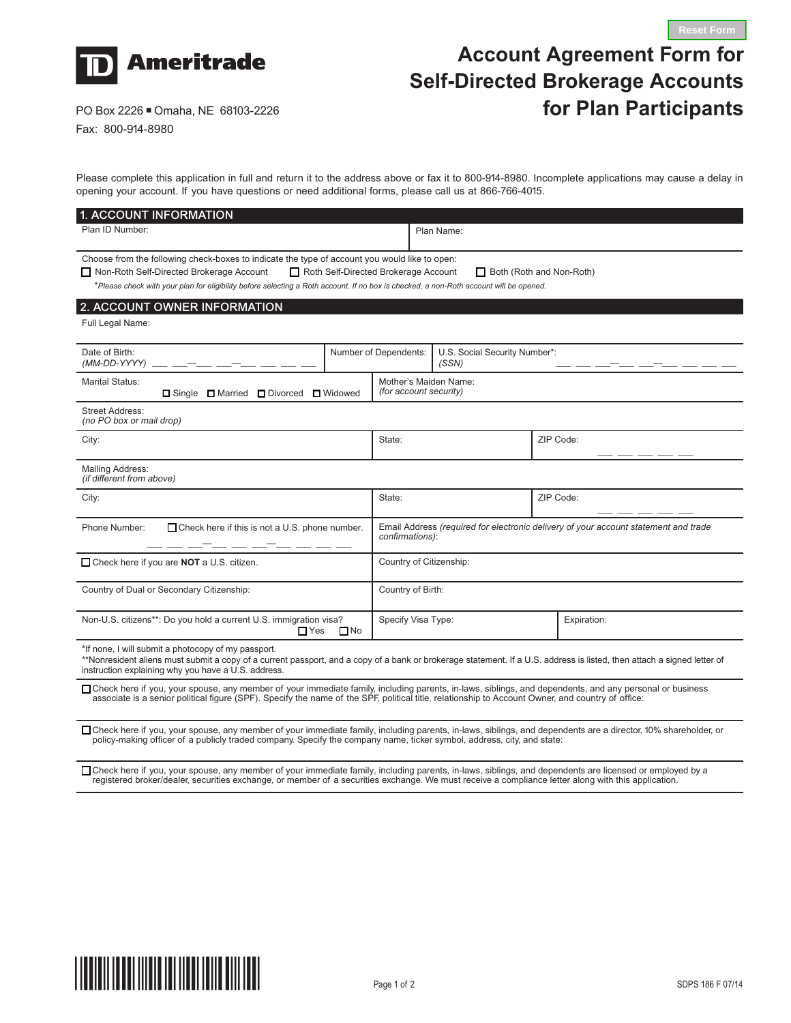

## **Account Agreement Form for Self-Directed Brokerage Accounts for Plan Participants**

**Reset Form**

PO Box 2226 ■ Omaha, NE 68103-2226 Fax: 800-914-8980

## Please complete this application in full and return it to the address above or fax it to 800-914-8980. Incomplete applications may cause a delay in opening your account. If you have questions or need additional forms, please call us at 866-766-4015.

| 1. ACCOUNT INFORMATION                                                                                                                                                                                                                                                                                         |                                                 |                                                                                                        |                               |           |             |  |  |
|----------------------------------------------------------------------------------------------------------------------------------------------------------------------------------------------------------------------------------------------------------------------------------------------------------------|-------------------------------------------------|--------------------------------------------------------------------------------------------------------|-------------------------------|-----------|-------------|--|--|
| Plan ID Number:                                                                                                                                                                                                                                                                                                |                                                 |                                                                                                        | Plan Name:                    |           |             |  |  |
|                                                                                                                                                                                                                                                                                                                |                                                 |                                                                                                        |                               |           |             |  |  |
| Choose from the following check-boxes to indicate the type of account you would like to open:                                                                                                                                                                                                                  |                                                 |                                                                                                        |                               |           |             |  |  |
| □ Non-Roth Self-Directed Brokerage Account<br>Roth Self-Directed Brokerage Account<br>Both (Roth and Non-Roth)                                                                                                                                                                                                 |                                                 |                                                                                                        |                               |           |             |  |  |
| *Please check with your plan for eligibility before selecting a Roth account. If no box is checked, a non-Roth account will be opened.                                                                                                                                                                         |                                                 |                                                                                                        |                               |           |             |  |  |
| 2. ACCOUNT OWNER INFORMATION                                                                                                                                                                                                                                                                                   |                                                 |                                                                                                        |                               |           |             |  |  |
| Full Legal Name:                                                                                                                                                                                                                                                                                               |                                                 |                                                                                                        |                               |           |             |  |  |
| Date of Birth:                                                                                                                                                                                                                                                                                                 |                                                 | Number of Dependents:                                                                                  | U.S. Social Security Number*: |           |             |  |  |
| (MM-DD-YYYY)                                                                                                                                                                                                                                                                                                   |                                                 |                                                                                                        | (SSN)                         |           |             |  |  |
| Marital Status:<br>□ Single □ Married □ Divorced<br><b>□</b> Widowed                                                                                                                                                                                                                                           | Mother's Maiden Name:<br>(for account security) |                                                                                                        |                               |           |             |  |  |
| <b>Street Address:</b><br>(no PO box or mail drop)                                                                                                                                                                                                                                                             |                                                 |                                                                                                        |                               |           |             |  |  |
| City:                                                                                                                                                                                                                                                                                                          |                                                 | State:                                                                                                 |                               |           | ZIP Code:   |  |  |
| Mailing Address:<br>(if different from above)                                                                                                                                                                                                                                                                  |                                                 |                                                                                                        |                               |           |             |  |  |
| City:                                                                                                                                                                                                                                                                                                          |                                                 | State:                                                                                                 |                               | ZIP Code: |             |  |  |
| □ Check here if this is not a U.S. phone number.<br>Phone Number:                                                                                                                                                                                                                                              |                                                 | Email Address (required for electronic delivery of your account statement and trade<br>confirmations): |                               |           |             |  |  |
| □ Check here if you are NOT a U.S. citizen.                                                                                                                                                                                                                                                                    |                                                 | Country of Citizenship:                                                                                |                               |           |             |  |  |
| Country of Dual or Secondary Citizenship:                                                                                                                                                                                                                                                                      |                                                 | Country of Birth:                                                                                      |                               |           |             |  |  |
| Non-U.S. citizens**: Do you hold a current U.S. immigration visa?<br>$\Box$ Yes<br>$\Box$ No                                                                                                                                                                                                                   |                                                 | Specify Visa Type:                                                                                     |                               |           | Expiration: |  |  |
| *If none, I will submit a photocopy of my passport.<br>**Nonresident aliens must submit a copy of a current passport, and a copy of a bank or brokerage statement. If a U.S. address is listed, then attach a signed letter of<br>instruction explaining why you have a U.S. address.                          |                                                 |                                                                                                        |                               |           |             |  |  |
| □ Check here if you, your spouse, any member of your immediate family, including parents, in-laws, siblings, and dependents, and any personal or business<br>associate is a senior political figure (SPF). Specify the name of the SPF, political title, relationship to Account Owner, and country of office: |                                                 |                                                                                                        |                               |           |             |  |  |
| □ Check here if you, your spouse, any member of your immediate family, including parents, in-laws, siblings, and dependents are a director, 10% shareholder, or<br>policy-making officer of a publicly traded company. Specify the company name, ticker symbol, address, city, and state:                      |                                                 |                                                                                                        |                               |           |             |  |  |

M Check here if you, your spouse, any member of your immediate family, including parents, in-laws, siblings, and dependents are licensed or employed by a registered broker/dealer, securities exchange, or member of a securities exchange. We must receive a compliance letter along with this application.